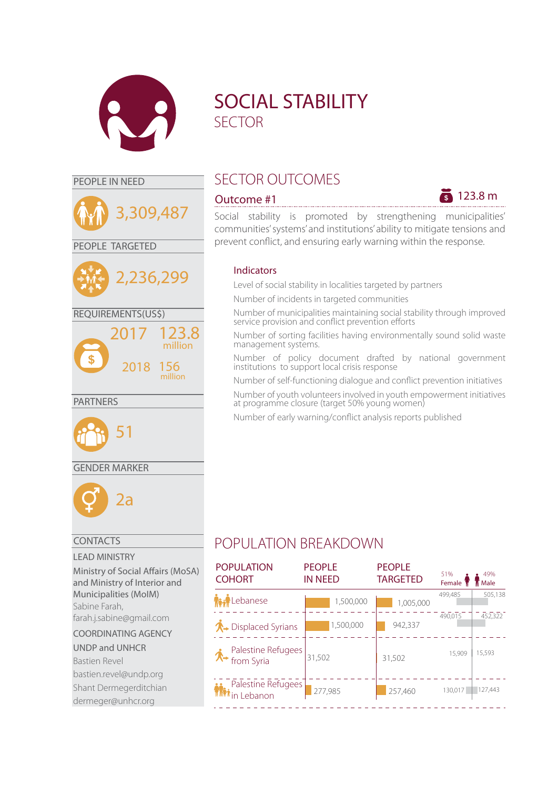

3,309,487

PEOPLE TARGETED

REQUIREMENTS(US\$)

2017

2,236,299

2018 156

123.8 million

million



# PEOPLE IN NEED SECTOR OUTCOMES



Social stability is promoted by strengthening municipalities' communities' systems' and institutions' ability to mitigate tensions and prevent conflict, and ensuring early warning within the response.

## Indicators

Level of social stability in localities targeted by partners

Number of incidents in targeted communities

Number of municipalities maintaining social stability through improved service provision and conflict prevention efforts

Number of sorting facilities having environmentally sound solid waste management systems.

Number of policy document drafted by national government institutions to support local crisis response

Number of self-functioning dialogue and conflict prevention initiatives

Number of youth volunteers involved in youth empowerment initiatives at programme closure (target 50% young women)

Number of early warning/conflict analysis reports published

## GENDER MARKER

51



PARTNERS

## CONTACTS

## LEAD MINISTRY

Ministry of Social Affairs (MoSA) and Ministry of Interior and Municipalities (MoIM) Sabine Farah, farah.j.sabine@gmail.com

### COORDINATING AGENCY

### UNDP and UNHCR

Bastien Revel bastien.revel@undp.org Shant Dermegerditchian dermeger@unhcr.org

# POPULATION BREAKDOWN

| <b>POPULATION</b><br><b>COHORT</b>                 | <b>PEOPLE</b><br><b>IN NEED</b> | <b>PEOPLE</b><br><b>TARGETED</b> | 51%<br>Female T | 49%<br>Male |
|----------------------------------------------------|---------------------------------|----------------------------------|-----------------|-------------|
| Lebanese                                           | 1,500,000                       | 1,005,000                        | 499,485         | 505,138     |
| $\bigwedge$ Displaced Syrians                      | 1,500,000                       | 942,337                          | 490,015         | 452,322     |
| <b>↑</b> Palestine Refugees                        | 31,502                          | 31,502                           | 15,909          | 15,593      |
| <b>Palestine Refugees</b><br><b>Mini</b> n Lebanon | 277,985                         | 257,460                          | 130,017         | 127,443     |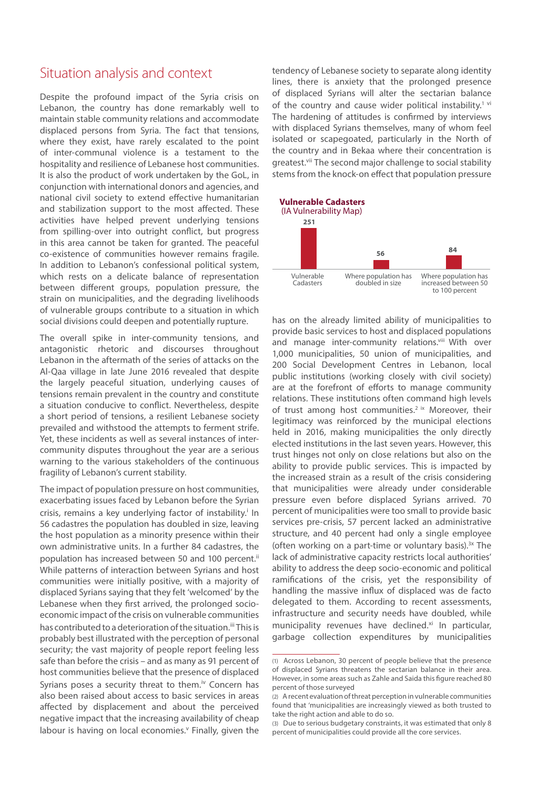## Situation analysis and context

Despite the profound impact of the Syria crisis on Lebanon, the country has done remarkably well to maintain stable community relations and accommodate displaced persons from Syria. The fact that tensions, where they exist, have rarely escalated to the point of inter-communal violence is a testament to the hospitality and resilience of Lebanese host communities. It is also the product of work undertaken by the GoL, in conjunction with international donors and agencies, and national civil society to extend effective humanitarian and stabilization support to the most affected. These activities have helped prevent underlying tensions from spilling-over into outright conflict, but progress in this area cannot be taken for granted. The peaceful co-existence of communities however remains fragile. In addition to Lebanon's confessional political system, which rests on a delicate balance of representation between different groups, population pressure, the strain on municipalities, and the degrading livelihoods of vulnerable groups contribute to a situation in which social divisions could deepen and potentially rupture.

The overall spike in inter-community tensions, and antagonistic rhetoric and discourses throughout Lebanon in the aftermath of the series of attacks on the Al-Qaa village in late June 2016 revealed that despite the largely peaceful situation, underlying causes of tensions remain prevalent in the country and constitute a situation conducive to conflict. Nevertheless, despite a short period of tensions, a resilient Lebanese society prevailed and withstood the attempts to ferment strife. Yet, these incidents as well as several instances of intercommunity disputes throughout the year are a serious warning to the various stakeholders of the continuous fragility of Lebanon's current stability.

The impact of population pressure on host communities, exacerbating issues faced by Lebanon before the Syrian crisis, remains a key underlying factor of instability.<sup>i</sup> In 56 cadastres the population has doubled in size, leaving the host population as a minority presence within their own administrative units. In a further 84 cadastres, the population has increased between 50 and 100 percent.<sup>ii</sup> While patterns of interaction between Syrians and host communities were initially positive, with a majority of displaced Syrians saying that they felt 'welcomed' by the Lebanese when they first arrived, the prolonged socioeconomic impact of the crisis on vulnerable communities has contributed to a deterioration of the situation.<sup>iii</sup> This is probably best illustrated with the perception of personal security; the vast majority of people report feeling less safe than before the crisis – and as many as 91 percent of host communities believe that the presence of displaced Syrians poses a security threat to them.<sup>iv</sup> Concern has also been raised about access to basic services in areas affected by displacement and about the perceived negative impact that the increasing availability of cheap labour is having on local economies.<sup>v</sup> Finally, given the

tendency of Lebanese society to separate along identity lines, there is anxiety that the prolonged presence of displaced Syrians will alter the sectarian balance of the country and cause wider political instability.<sup>1 vi</sup> The hardening of attitudes is confirmed by interviews with displaced Syrians themselves, many of whom feel isolated or scapegoated, particularly in the North of the country and in Bekaa where their concentration is greatest.<sup>vii</sup> The second major challenge to social stability stems from the knock-on effect that population pressure



has on the already limited ability of municipalities to provide basic services to host and displaced populations and manage inter-community relations.viii With over 1,000 municipalities, 50 union of municipalities, and 200 Social Development Centres in Lebanon, local public institutions (working closely with civil society) are at the forefront of efforts to manage community relations. These institutions often command high levels of trust among host communities.<sup>2 ix</sup> Moreover, their legitimacy was reinforced by the municipal elections held in 2016, making municipalities the only directly elected institutions in the last seven years. However, this trust hinges not only on close relations but also on the ability to provide public services. This is impacted by the increased strain as a result of the crisis considering that municipalities were already under considerable pressure even before displaced Syrians arrived. 70 percent of municipalities were too small to provide basic services pre-crisis, 57 percent lacked an administrative structure, and 40 percent had only a single employee (often working on a part-time or voluntary basis).<sup>3x</sup> The lack of administrative capacity restricts local authorities' ability to address the deep socio-economic and political ramifications of the crisis, yet the responsibility of handling the massive influx of displaced was de facto delegated to them. According to recent assessments, infrastructure and security needs have doubled, while municipality revenues have declined.<sup>xi</sup> In particular, garbage collection expenditures by municipalities

<sup>(1)</sup> Across Lebanon, 30 percent of people believe that the presence of displaced Syrians threatens the sectarian balance in their area. However, in some areas such as Zahle and Saida this figure reached 80 percent of those surveyed

<sup>(2)</sup> A recent evaluation of threat perception in vulnerable communities found that 'municipalities are increasingly viewed as both trusted to take the right action and able to do so.

<sup>(3)</sup> Due to serious budgetary constraints, it was estimated that only 8 percent of municipalities could provide all the core services.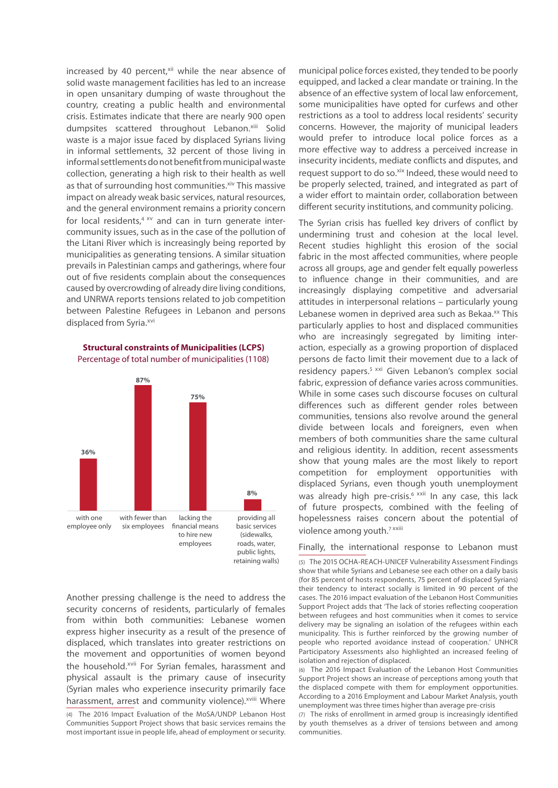increased by 40 percent,<sup>xii</sup> while the near absence of solid waste management facilities has led to an increase in open unsanitary dumping of waste throughout the country, creating a public health and environmental crisis. Estimates indicate that there are nearly 900 open dumpsites scattered throughout Lebanon.xiii Solid waste is a major issue faced by displaced Syrians living in informal settlements, 32 percent of those living in informal settlements do not benefit from municipal waste collection, generating a high risk to their health as well as that of surrounding host communities.<sup>xiv</sup> This massive impact on already weak basic services, natural resources, and the general environment remains a priority concern for local residents, $4 \times v$  and can in turn generate intercommunity issues, such as in the case of the pollution of the Litani River which is increasingly being reported by municipalities as generating tensions. A similar situation prevails in Palestinian camps and gatherings, where four out of five residents complain about the consequences caused by overcrowding of already dire living conditions, and UNRWA reports tensions related to job competition between Palestine Refugees in Lebanon and persons displaced from Syria.<sup>xvi</sup>

**Structural constraints of Municipalities (LCPS)** Percentage of total number of municipalities (1108)



Another pressing challenge is the need to address the security concerns of residents, particularly of females from within both communities: Lebanese women express higher insecurity as a result of the presence of displaced, which translates into greater restrictions on the movement and opportunities of women beyond the household.<sup>xvii</sup> For Syrian females, harassment and physical assault is the primary cause of insecurity (Syrian males who experience insecurity primarily face harassment, arrest and community violence).<sup>xviii</sup> Where

(4) The 2016 Impact Evaluation of the MoSA/UNDP Lebanon Host Communities Support Project shows that basic services remains the most important issue in people life, ahead of employment or security.

municipal police forces existed, they tended to be poorly equipped, and lacked a clear mandate or training. In the absence of an effective system of local law enforcement, some municipalities have opted for curfews and other restrictions as a tool to address local residents' security concerns. However, the majority of municipal leaders would prefer to introduce local police forces as a more effective way to address a perceived increase in insecurity incidents, mediate conflicts and disputes, and request support to do so.<sup>xix</sup> Indeed, these would need to be properly selected, trained, and integrated as part of a wider effort to maintain order, collaboration between different security institutions, and community policing.

The Syrian crisis has fuelled key drivers of conflict by undermining trust and cohesion at the local level. Recent studies highlight this erosion of the social fabric in the most affected communities, where people across all groups, age and gender felt equally powerless to influence change in their communities, and are increasingly displaying competitive and adversarial attitudes in interpersonal relations – particularly young Lebanese women in deprived area such as Bekaa.<sup>xx</sup> This particularly applies to host and displaced communities who are increasingly segregated by limiting interaction, especially as a growing proportion of displaced persons de facto limit their movement due to a lack of residency papers.<sup>5 xxi</sup> Given Lebanon's complex social fabric, expression of defiance varies across communities. While in some cases such discourse focuses on cultural differences such as different gender roles between communities, tensions also revolve around the general divide between locals and foreigners, even when members of both communities share the same cultural and religious identity. In addition, recent assessments show that young males are the most likely to report competition for employment opportunities with displaced Syrians, even though youth unemployment was already high pre-crisis.<sup>6 xxii</sup> In any case, this lack of future prospects, combined with the feeling of hopelessness raises concern about the potential of violence among youth.<sup>7 xxiii</sup>

Finally, the international response to Lebanon must

(5) The 2015 OCHA-REACH-UNICEF Vulnerability Assessment Findings show that while Syrians and Lebanese see each other on a daily basis (for 85 percent of hosts respondents, 75 percent of displaced Syrians) their tendency to interact socially is limited in 90 percent of the cases. The 2016 impact evaluation of the Lebanon Host Communities Support Project adds that 'The lack of stories reflecting cooperation between refugees and host communities when it comes to service delivery may be signaling an isolation of the refugees within each municipality. This is further reinforced by the growing number of people who reported avoidance instead of cooperation.' UNHCR Participatory Assessments also highlighted an increased feeling of isolation and rejection of displaced.

(6) The 2016 Impact Evaluation of the Lebanon Host Communities Support Project shows an increase of perceptions among youth that the displaced compete with them for employment opportunities. According to a 2016 Employment and Labour Market Analysis, youth unemployment was three times higher than average pre-crisis

(7) The risks of enrollment in armed group is increasingly identified by youth themselves as a driver of tensions between and among communities.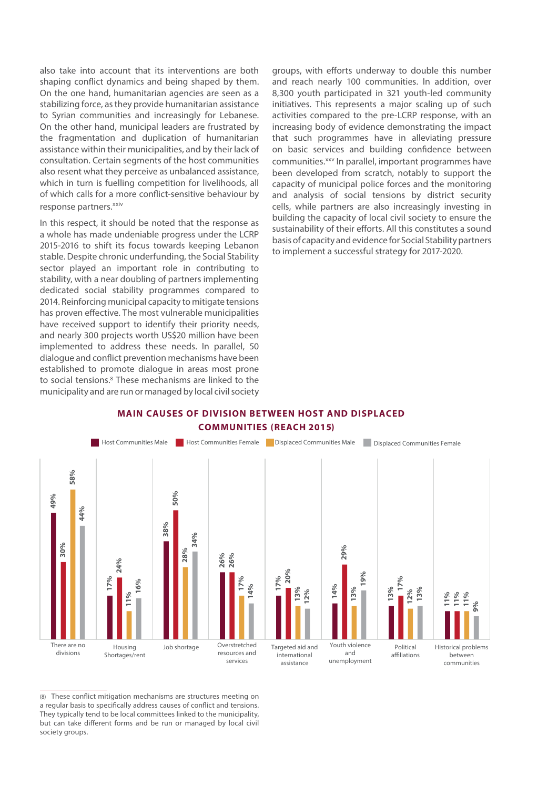also take into account that its interventions are both shaping conflict dynamics and being shaped by them. On the one hand, humanitarian agencies are seen as a stabilizing force, as they provide humanitarian assistance to Syrian communities and increasingly for Lebanese. On the other hand, municipal leaders are frustrated by the fragmentation and duplication of humanitarian assistance within their municipalities, and by their lack of consultation. Certain segments of the host communities also resent what they perceive as unbalanced assistance, which in turn is fuelling competition for livelihoods, all of which calls for a more conflict-sensitive behaviour by response partners.<sup>xxiv</sup>

In this respect, it should be noted that the response as a whole has made undeniable progress under the LCRP 2015-2016 to shift its focus towards keeping Lebanon stable. Despite chronic underfunding, the Social Stability sector played an important role in contributing to stability, with a near doubling of partners implementing dedicated social stability programmes compared to 2014. Reinforcing municipal capacity to mitigate tensions has proven effective. The most vulnerable municipalities have received support to identify their priority needs, and nearly 300 projects worth US\$20 million have been implemented to address these needs. In parallel, 50 dialogue and conflict prevention mechanisms have been established to promote dialogue in areas most prone to social tensions.<sup>8</sup> These mechanisms are linked to the municipality and are run or managed by local civil society

groups, with efforts underway to double this number and reach nearly 100 communities. In addition, over 8,300 youth participated in 321 youth-led community initiatives. This represents a major scaling up of such activities compared to the pre-LCRP response, with an increasing body of evidence demonstrating the impact that such programmes have in alleviating pressure on basic services and building confidence between communities.<sup>xxv</sup> In parallel, important programmes have been developed from scratch, notably to support the capacity of municipal police forces and the monitoring and analysis of social tensions by district security cells, while partners are also increasingly investing in building the capacity of local civil society to ensure the sustainability of their efforts. All this constitutes a sound basis of capacity and evidence for Social Stability partners to implement a successful strategy for 2017-2020.

#### **MAIN CAUSES OF DIVISION BETWEEN HOST AND DISPLACED COMMUNITIES (REACH 2015)**



(8) These conflict mitigation mechanisms are structures meeting on a regular basis to specifically address causes of conflict and tensions. They typically tend to be local committees linked to the municipality, but can take different forms and be run or managed by local civil society groups.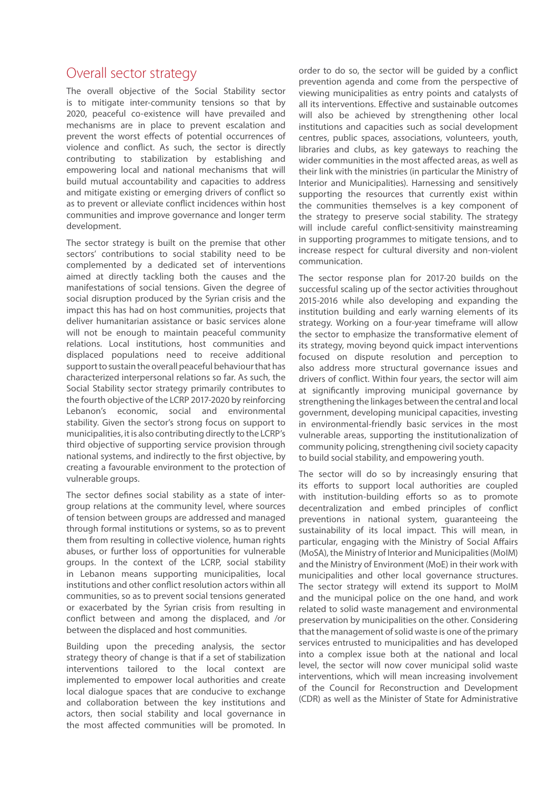## Overall sector strategy

The overall objective of the Social Stability sector is to mitigate inter-community tensions so that by 2020, peaceful co-existence will have prevailed and mechanisms are in place to prevent escalation and prevent the worst effects of potential occurrences of violence and conflict. As such, the sector is directly contributing to stabilization by establishing and empowering local and national mechanisms that will build mutual accountability and capacities to address and mitigate existing or emerging drivers of conflict so as to prevent or alleviate conflict incidences within host communities and improve governance and longer term development.

The sector strategy is built on the premise that other sectors' contributions to social stability need to be complemented by a dedicated set of interventions aimed at directly tackling both the causes and the manifestations of social tensions. Given the degree of social disruption produced by the Syrian crisis and the impact this has had on host communities, projects that deliver humanitarian assistance or basic services alone will not be enough to maintain peaceful community relations. Local institutions, host communities and displaced populations need to receive additional support to sustain the overall peaceful behaviour that has characterized interpersonal relations so far. As such, the Social Stability sector strategy primarily contributes to the fourth objective of the LCRP 2017-2020 by reinforcing Lebanon's economic, social and environmental stability. Given the sector's strong focus on support to municipalities, it is also contributing directly to the LCRP's third objective of supporting service provision through national systems, and indirectly to the first objective, by creating a favourable environment to the protection of vulnerable groups.

The sector defines social stability as a state of intergroup relations at the community level, where sources of tension between groups are addressed and managed through formal institutions or systems, so as to prevent them from resulting in collective violence, human rights abuses, or further loss of opportunities for vulnerable groups. In the context of the LCRP, social stability in Lebanon means supporting municipalities, local institutions and other conflict resolution actors within all communities, so as to prevent social tensions generated or exacerbated by the Syrian crisis from resulting in conflict between and among the displaced, and /or between the displaced and host communities.

Building upon the preceding analysis, the sector strategy theory of change is that if a set of stabilization interventions tailored to the local context are implemented to empower local authorities and create local dialogue spaces that are conducive to exchange and collaboration between the key institutions and actors, then social stability and local governance in the most affected communities will be promoted. In

order to do so, the sector will be guided by a conflict prevention agenda and come from the perspective of viewing municipalities as entry points and catalysts of all its interventions. Effective and sustainable outcomes will also be achieved by strengthening other local institutions and capacities such as social development centres, public spaces, associations, volunteers, youth, libraries and clubs, as key gateways to reaching the wider communities in the most affected areas, as well as their link with the ministries (in particular the Ministry of Interior and Municipalities). Harnessing and sensitively supporting the resources that currently exist within the communities themselves is a key component of the strategy to preserve social stability. The strategy will include careful conflict-sensitivity mainstreaming in supporting programmes to mitigate tensions, and to increase respect for cultural diversity and non-violent communication.

The sector response plan for 2017-20 builds on the successful scaling up of the sector activities throughout 2015-2016 while also developing and expanding the institution building and early warning elements of its strategy. Working on a four-year timeframe will allow the sector to emphasize the transformative element of its strategy, moving beyond quick impact interventions focused on dispute resolution and perception to also address more structural governance issues and drivers of conflict. Within four years, the sector will aim at significantly improving municipal governance by strengthening the linkages between the central and local government, developing municipal capacities, investing in environmental-friendly basic services in the most vulnerable areas, supporting the institutionalization of community policing, strengthening civil society capacity to build social stability, and empowering youth.

The sector will do so by increasingly ensuring that its efforts to support local authorities are coupled with institution-building efforts so as to promote decentralization and embed principles of conflict preventions in national system, guaranteeing the sustainability of its local impact. This will mean, in particular, engaging with the Ministry of Social Affairs (MoSA), the Ministry of Interior and Municipalities (MoIM) and the Ministry of Environment (MoE) in their work with municipalities and other local governance structures. The sector strategy will extend its support to MoIM and the municipal police on the one hand, and work related to solid waste management and environmental preservation by municipalities on the other. Considering that the management of solid waste is one of the primary services entrusted to municipalities and has developed into a complex issue both at the national and local level, the sector will now cover municipal solid waste interventions, which will mean increasing involvement of the Council for Reconstruction and Development (CDR) as well as the Minister of State for Administrative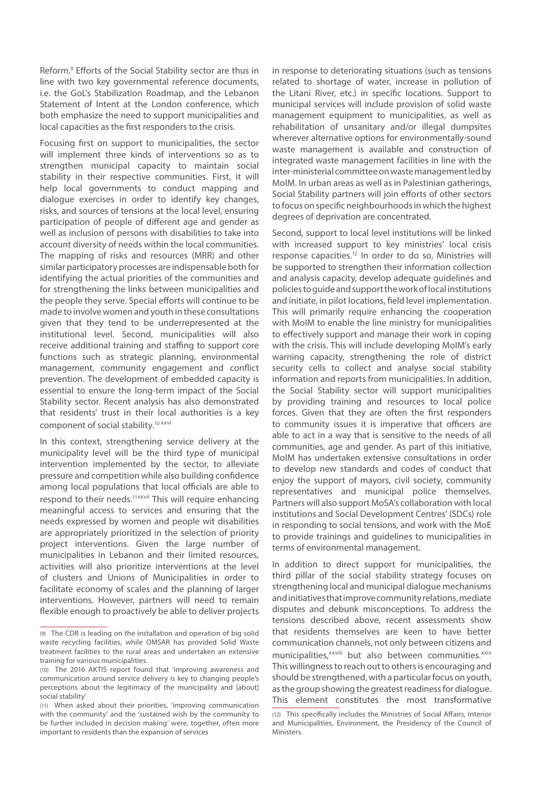Reform.<sup>9</sup> Efforts of the Social Stability sector are thus in line with two key governmental reference documents, i.e. the GoL's Stabilization Roadmap, and the Lebanon Statement of Intent at the London conference, which both emphasize the need to support municipalities and local capacities as the first responders to the crisis.

Focusing first on support to municipalities, the sector will implement three kinds of interventions so as to strengthen municipal capacity to maintain social stability in their respective communities. First, it will help local governments to conduct mapping and dialogue exercises in order to identify key changes, risks, and sources of tensions at the local level, ensuring participation of people of different age and gender as well as inclusion of persons with disabilities to take into account diversity of needs within the local communities. The mapping of risks and resources (MRR) and other similar participatory processes are indispensable both for identifying the actual priorities of the communities and for strengthening the links between municipalities and the people they serve. Special efforts will continue to be made to involve women and youth in these consultations given that they tend to be underrepresented at the institutional level. Second, municipalities will also receive additional training and staffing to support core functions such as strategic planning, environmental management, community engagement and conflict prevention. The development of embedded capacity is essential to ensure the long-term impact of the Social Stability sector. Recent analysis has also demonstrated that residents' trust in their local authorities is a key component of social stability.<sup>10 xxvi</sup>

In this context, strengthening service delivery at the municipality level will be the third type of municipal intervention implemented by the sector, to alleviate pressure and competition while also building confidence among local populations that local officials are able to respond to their needs.11xxvii This will require enhancing meaningful access to services and ensuring that the needs expressed by women and people wit disabilities are appropriately prioritized in the selection of priority project interventions. Given the large number of municipalities in Lebanon and their limited resources, activities will also prioritize interventions at the level of clusters and Unions of Municipalities in order to facilitate economy of scales and the planning of larger interventions. However, partners will need to remain flexible enough to proactively be able to deliver projects

in response to deteriorating situations (such as tensions related to shortage of water, increase in pollution of the Litani River, etc.) in specific locations. Support to municipal services will include provision of solid waste management equipment to municipalities, as well as rehabilitation of unsanitary and/or illegal dumpsites wherever alternative options for environmentally-sound waste management is available and construction of integrated waste management facilities in line with the inter-ministerial committee on waste management led by MoIM. In urban areas as well as in Palestinian gatherings, Social Stability partners will join efforts of other sectors to focus on specific neighbourhoods in which the highest degrees of deprivation are concentrated.

Second, support to local level institutions will be linked with increased support to key ministries' local crisis response capacities.12 In order to do so, Ministries will be supported to strengthen their information collection and analysis capacity, develop adequate guidelines and policies to guide and support the work of local institutions and initiate, in pilot locations, field level implementation. This will primarily require enhancing the cooperation with MoIM to enable the line ministry for municipalities to effectively support and manage their work in coping with the crisis. This will include developing MoIM's early warning capacity, strengthening the role of district security cells to collect and analyse social stability information and reports from municipalities. In addition, the Social Stability sector will support municipalities by providing training and resources to local police forces. Given that they are often the first responders to community issues it is imperative that officers are able to act in a way that is sensitive to the needs of all communities, age and gender. As part of this initiative, MoIM has undertaken extensive consultations in order to develop new standards and codes of conduct that enjoy the support of mayors, civil society, community representatives and municipal police themselves. Partners will also support MoSA's collaboration with local institutions and Social Development Centres' (SDCs) role in responding to social tensions, and work with the MoE to provide trainings and guidelines to municipalities in terms of environmental management.

In addition to direct support for municipalities, the third pillar of the social stability strategy focuses on strengthening local and municipal dialogue mechanisms and initiatives that improve community relations, mediate disputes and debunk misconceptions. To address the tensions described above, recent assessments show that residents themselves are keen to have better communication channels, not only between citizens and municipalities,<sup>xxviii</sup> but also between communities.<sup>xxix</sup> This willingness to reach out to others is encouraging and should be strengthened, with a particular focus on youth, as the group showing the greatest readiness for dialogue. This element constitutes the most transformative

<sup>(9)</sup> The CDR is leading on the installation and operation of big solid waste recycling facilities, while OMSAR has provided Solid Waste treatment facilities to the rural areas and undertaken an extensive training for various municipalities.

<sup>(10)</sup> The 2016 AKTIS report found that 'improving awareness and communication around service delivery is key to changing people's perceptions about the legitimacy of the municipality and [about] social stability'

<sup>(11)</sup> When asked about their priorities, 'improving communication with the community' and the 'sustained wish by the community to be further included in decision making' were, together, often more important to residents than the expansion of services

<sup>(12)</sup> This specifically includes the Ministries of Social Affairs, Interior and Municipalities, Environment, the Presidency of the Council of Ministers.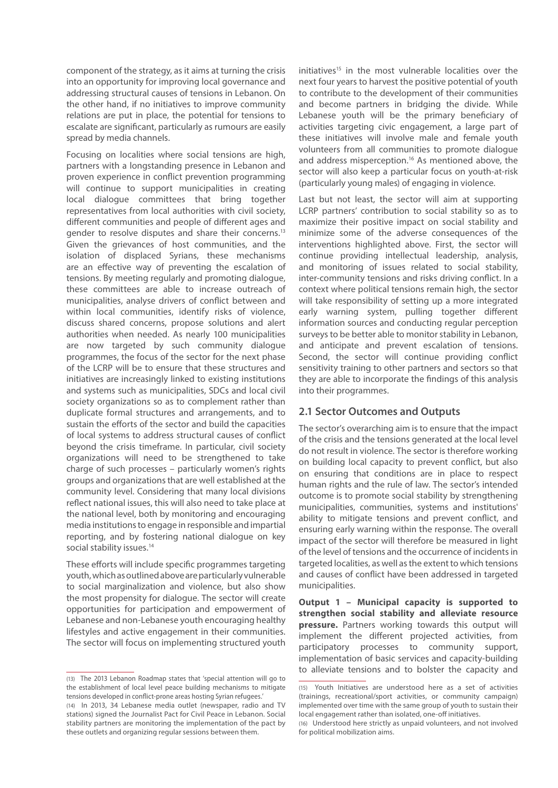component of the strategy, as it aims at turning the crisis into an opportunity for improving local governance and addressing structural causes of tensions in Lebanon. On the other hand, if no initiatives to improve community relations are put in place, the potential for tensions to escalate are significant, particularly as rumours are easily spread by media channels.

Focusing on localities where social tensions are high, partners with a longstanding presence in Lebanon and proven experience in conflict prevention programming will continue to support municipalities in creating local dialogue committees that bring together representatives from local authorities with civil society, different communities and people of different ages and gender to resolve disputes and share their concerns.13 Given the grievances of host communities, and the isolation of displaced Syrians, these mechanisms are an effective way of preventing the escalation of tensions. By meeting regularly and promoting dialogue, these committees are able to increase outreach of municipalities, analyse drivers of conflict between and within local communities, identify risks of violence, discuss shared concerns, propose solutions and alert authorities when needed. As nearly 100 municipalities are now targeted by such community dialogue programmes, the focus of the sector for the next phase of the LCRP will be to ensure that these structures and initiatives are increasingly linked to existing institutions and systems such as municipalities, SDCs and local civil society organizations so as to complement rather than duplicate formal structures and arrangements, and to sustain the efforts of the sector and build the capacities of local systems to address structural causes of conflict beyond the crisis timeframe. In particular, civil society organizations will need to be strengthened to take charge of such processes – particularly women's rights groups and organizations that are well established at the community level. Considering that many local divisions reflect national issues, this will also need to take place at the national level, both by monitoring and encouraging media institutions to engage in responsible and impartial reporting, and by fostering national dialogue on key social stability issues.<sup>14</sup>

These efforts will include specific programmes targeting youth, which as outlined above are particularly vulnerable to social marginalization and violence, but also show the most propensity for dialogue. The sector will create opportunities for participation and empowerment of Lebanese and non-Lebanese youth encouraging healthy lifestyles and active engagement in their communities. The sector will focus on implementing structured youth

initiatives<sup>15</sup> in the most vulnerable localities over the next four years to harvest the positive potential of youth to contribute to the development of their communities and become partners in bridging the divide. While Lebanese youth will be the primary beneficiary of activities targeting civic engagement, a large part of these initiatives will involve male and female youth volunteers from all communities to promote dialogue and address misperception.<sup>16</sup> As mentioned above, the sector will also keep a particular focus on youth-at-risk (particularly young males) of engaging in violence.

Last but not least, the sector will aim at supporting LCRP partners' contribution to social stability so as to maximize their positive impact on social stability and minimize some of the adverse consequences of the interventions highlighted above. First, the sector will continue providing intellectual leadership, analysis, and monitoring of issues related to social stability, inter-community tensions and risks driving conflict. In a context where political tensions remain high, the sector will take responsibility of setting up a more integrated early warning system, pulling together different information sources and conducting regular perception surveys to be better able to monitor stability in Lebanon, and anticipate and prevent escalation of tensions. Second, the sector will continue providing conflict sensitivity training to other partners and sectors so that they are able to incorporate the findings of this analysis into their programmes.

## **2.1 Sector Outcomes and Outputs**

The sector's overarching aim is to ensure that the impact of the crisis and the tensions generated at the local level do not result in violence. The sector is therefore working on building local capacity to prevent conflict, but also on ensuring that conditions are in place to respect human rights and the rule of law. The sector's intended outcome is to promote social stability by strengthening municipalities, communities, systems and institutions' ability to mitigate tensions and prevent conflict, and ensuring early warning within the response. The overall impact of the sector will therefore be measured in light of the level of tensions and the occurrence of incidents in targeted localities, as well as the extent to which tensions and causes of conflict have been addressed in targeted municipalities.

**Output 1 – Municipal capacity is supported to strengthen social stability and alleviate resource pressure.** Partners working towards this output will implement the different projected activities, from participatory processes to community support, implementation of basic services and capacity-building to alleviate tensions and to bolster the capacity and

<sup>(13)</sup> The 2013 Lebanon Roadmap states that 'special attention will go to the establishment of local level peace building mechanisms to mitigate tensions developed in conflict-prone areas hosting Syrian refugees.'

<sup>(14)</sup> In 2013, 34 Lebanese media outlet (newspaper, radio and TV stations) signed the Journalist Pact for Civil Peace in Lebanon. Social stability partners are monitoring the implementation of the pact by these outlets and organizing regular sessions between them.

<sup>(15)</sup> Youth Initiatives are understood here as a set of activities (trainings, recreational/sport activities, or community campaign) implemented over time with the same group of youth to sustain their local engagement rather than isolated, one-off initiatives.

<sup>(16)</sup> Understood here strictly as unpaid volunteers, and not involved for political mobilization aims.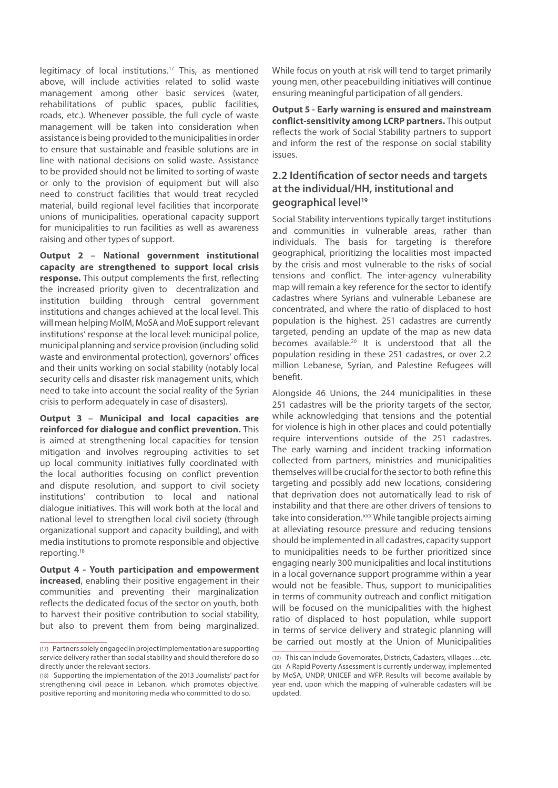legitimacy of local institutions.17 This, as mentioned above, will include activities related to solid waste management among other basic services (water, rehabilitations of public spaces, public facilities, roads, etc.). Whenever possible, the full cycle of waste management will be taken into consideration when assistance is being provided to the municipalities in order to ensure that sustainable and feasible solutions are in line with national decisions on solid waste. Assistance to be provided should not be limited to sorting of waste or only to the provision of equipment but will also need to construct facilities that would treat recycled material, build regional level facilities that incorporate unions of municipalities, operational capacity support for municipalities to run facilities as well as awareness raising and other types of support.

**Output 2 – National government institutional capacity are strengthened to support local crisis response.** This output complements the first, reflecting the increased priority given to decentralization and institution building through central government institutions and changes achieved at the local level. This will mean helping MoIM, MoSA and MoE support relevant institutions' response at the local level: municipal police, municipal planning and service provision (including solid waste and environmental protection), governors' offices and their units working on social stability (notably local security cells and disaster risk management units, which need to take into account the social reality of the Syrian crisis to perform adequately in case of disasters).

**Output 3 – Municipal and local capacities are reinforced for dialogue and conflict prevention.** This is aimed at strengthening local capacities for tension mitigation and involves regrouping activities to set up local community initiatives fully coordinated with the local authorities focusing on conflict prevention and dispute resolution, and support to civil society institutions' contribution to local and national dialogue initiatives. This will work both at the local and national level to strengthen local civil society (through organizational support and capacity building), and with media institutions to promote responsible and objective reporting.18

**Output 4 - Youth participation and empowerment increased**, enabling their positive engagement in their communities and preventing their marginalization reflects the dedicated focus of the sector on youth, both to harvest their positive contribution to social stability, but also to prevent them from being marginalized.

While focus on youth at risk will tend to target primarily young men, other peacebuilding initiatives will continue ensuring meaningful participation of all genders.

**Output 5 - Early warning is ensured and mainstream conflict-sensitivity among LCRP partners.** This output reflects the work of Social Stability partners to support and inform the rest of the response on social stability issues.

## **2.2 Identification of sector needs and targets at the individual/HH, institutional and geographical level19**

Social Stability interventions typically target institutions and communities in vulnerable areas, rather than individuals. The basis for targeting is therefore geographical, prioritizing the localities most impacted by the crisis and most vulnerable to the risks of social tensions and conflict. The inter-agency vulnerability map will remain a key reference for the sector to identify cadastres where Syrians and vulnerable Lebanese are concentrated, and where the ratio of displaced to host population is the highest. 251 cadastres are currently targeted, pending an update of the map as new data becomes available.<sup>20</sup> It is understood that all the population residing in these 251 cadastres, or over 2.2 million Lebanese, Syrian, and Palestine Refugees will benefit.

Alongside 46 Unions, the 244 municipalities in these 251 cadastres will be the priority targets of the sector, while acknowledging that tensions and the potential for violence is high in other places and could potentially require interventions outside of the 251 cadastres. The early warning and incident tracking information collected from partners, ministries and municipalities themselves will be crucial for the sector to both refine this targeting and possibly add new locations, considering that deprivation does not automatically lead to risk of instability and that there are other drivers of tensions to take into consideration.<sup>xxx</sup> While tangible projects aiming at alleviating resource pressure and reducing tensions should be implemented in all cadastres, capacity support to municipalities needs to be further prioritized since engaging nearly 300 municipalities and local institutions in a local governance support programme within a year would not be feasible. Thus, support to municipalities in terms of community outreach and conflict mitigation will be focused on the municipalities with the highest ratio of displaced to host population, while support in terms of service delivery and strategic planning will be carried out mostly at the Union of Municipalities

<sup>(17)</sup> Partners solely engaged in project implementation are supporting service delivery rather than social stability and should therefore do so directly under the relevant sectors.

<sup>(18)</sup> Supporting the implementation of the 2013 Journalists' pact for strengthening civil peace in Lebanon, which promotes objective, positive reporting and monitoring media who committed to do so.

<sup>(19)</sup> This can include Governorates, Districts, Cadasters, villages …etc. (20) A Rapid Poverty Assessment is currently underway, implemented by MoSA, UNDP, UNICEF and WFP. Results will become available by year end, upon which the mapping of vulnerable cadasters will be updated.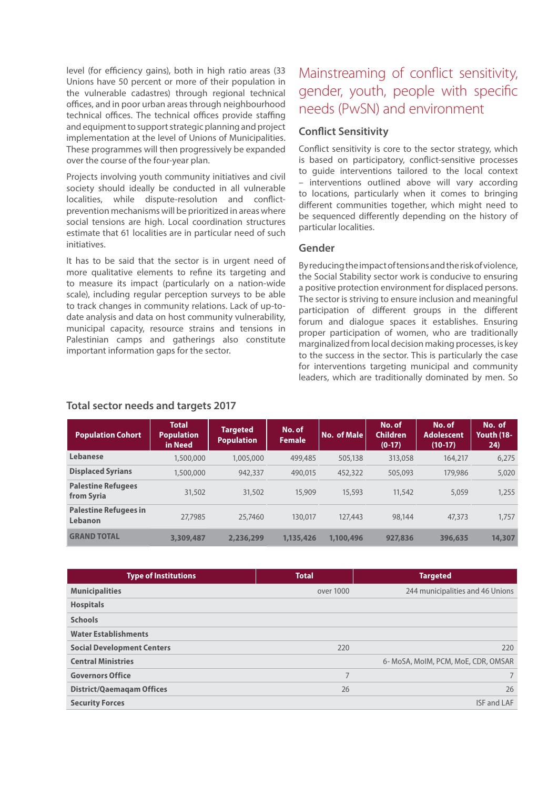level (for efficiency gains), both in high ratio areas (33 Unions have 50 percent or more of their population in the vulnerable cadastres) through regional technical offices, and in poor urban areas through neighbourhood technical offices. The technical offices provide staffing and equipment to support strategic planning and project implementation at the level of Unions of Municipalities. These programmes will then progressively be expanded over the course of the four-year plan.

Projects involving youth community initiatives and civil society should ideally be conducted in all vulnerable localities, while dispute-resolution and conflictprevention mechanisms will be prioritized in areas where social tensions are high. Local coordination structures estimate that 61 localities are in particular need of such initiatives.

It has to be said that the sector is in urgent need of more qualitative elements to refine its targeting and to measure its impact (particularly on a nation-wide scale), including regular perception surveys to be able to track changes in community relations. Lack of up-todate analysis and data on host community vulnerability, municipal capacity, resource strains and tensions in Palestinian camps and gatherings also constitute important information gaps for the sector.

# Mainstreaming of conflict sensitivity, gender, youth, people with specific needs (PwSN) and environment

## **Conflict Sensitivity**

Conflict sensitivity is core to the sector strategy, which is based on participatory, conflict-sensitive processes to guide interventions tailored to the local context – interventions outlined above will vary according to locations, particularly when it comes to bringing different communities together, which might need to be sequenced differently depending on the history of particular localities.

## **Gender**

By reducing the impact of tensions and the risk of violence, the Social Stability sector work is conducive to ensuring a positive protection environment for displaced persons. The sector is striving to ensure inclusion and meaningful participation of different groups in the different forum and dialogue spaces it establishes. Ensuring proper participation of women, who are traditionally marginalized from local decision making processes, is key to the success in the sector. This is particularly the case for interventions targeting municipal and community leaders, which are traditionally dominated by men. So

| <b>Population Cohort</b>                | <b>Total</b><br><b>Population</b><br>in Need | <b>Targeted</b><br><b>Population</b> | No. of<br><b>Female</b> | No. of Male | No. of<br><b>Children</b><br>$(0-17)$ | No. of<br><b>Adolescent</b><br>$(10-17)$ | No. of<br>Youth (18-<br>24) |
|-----------------------------------------|----------------------------------------------|--------------------------------------|-------------------------|-------------|---------------------------------------|------------------------------------------|-----------------------------|
| <b>Lebanese</b>                         | 1,500,000                                    | 1,005,000                            | 499,485                 | 505,138     | 313,058                               | 164,217                                  | 6,275                       |
| <b>Displaced Syrians</b>                | 1,500,000                                    | 942,337                              | 490,015                 | 452,322     | 505,093                               | 179,986                                  | 5,020                       |
| <b>Palestine Refugees</b><br>from Syria | 31,502                                       | 31,502                               | 15.909                  | 15,593      | 11,542                                | 5,059                                    | 1,255                       |
| <b>Palestine Refugees in</b><br>Lebanon | 27,7985                                      | 25,7460                              | 130,017                 | 127,443     | 98,144                                | 47,373                                   | 1,757                       |
| <b>GRAND TOTAL</b>                      | 3,309,487                                    | 2,236,299                            | 1,135,426               | 1,100,496   | 927,836                               | 396,635                                  | 14,307                      |

## **Total sector needs and targets 2017**

| <b>Type of Institutions</b>       | <b>Total</b> | <b>Targeted</b>                     |
|-----------------------------------|--------------|-------------------------------------|
| <b>Municipalities</b>             | over 1000    | 244 municipalities and 46 Unions    |
| <b>Hospitals</b>                  |              |                                     |
| <b>Schools</b>                    |              |                                     |
| <b>Water Establishments</b>       |              |                                     |
| <b>Social Development Centers</b> | 220          | 220                                 |
| <b>Central Ministries</b>         |              | 6- MoSA, MoIM, PCM, MoE, CDR, OMSAR |
| <b>Governors Office</b>           | 7            |                                     |
| <b>District/Qaemagam Offices</b>  | 26           | 26                                  |
| <b>Security Forces</b>            |              | <b>ISF and LAF</b>                  |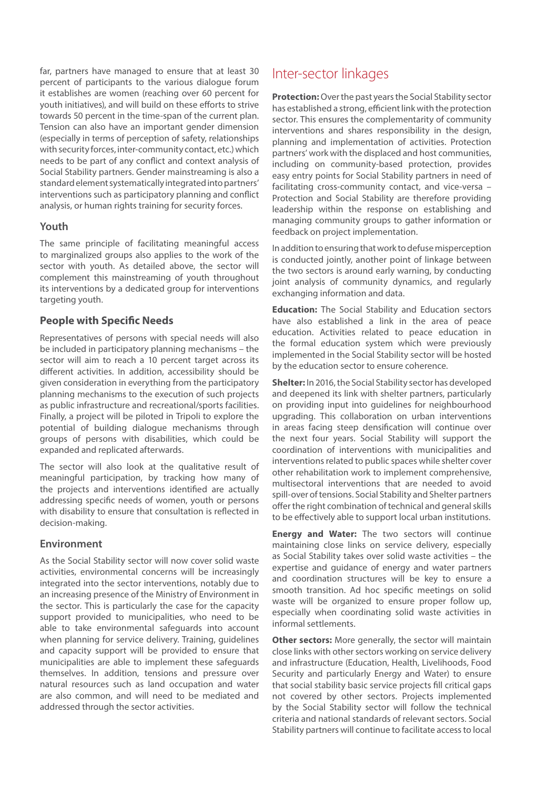far, partners have managed to ensure that at least 30 percent of participants to the various dialogue forum it establishes are women (reaching over 60 percent for youth initiatives), and will build on these efforts to strive towards 50 percent in the time-span of the current plan. Tension can also have an important gender dimension (especially in terms of perception of safety, relationships with security forces, inter-community contact, etc.) which needs to be part of any conflict and context analysis of Social Stability partners. Gender mainstreaming is also a standard element systematically integrated into partners' interventions such as participatory planning and conflict analysis, or human rights training for security forces.

#### **Youth**

The same principle of facilitating meaningful access to marginalized groups also applies to the work of the sector with youth. As detailed above, the sector will complement this mainstreaming of youth throughout its interventions by a dedicated group for interventions targeting youth.

### **People with Specific Needs**

Representatives of persons with special needs will also be included in participatory planning mechanisms – the sector will aim to reach a 10 percent target across its different activities. In addition, accessibility should be given consideration in everything from the participatory planning mechanisms to the execution of such projects as public infrastructure and recreational/sports facilities. Finally, a project will be piloted in Tripoli to explore the potential of building dialogue mechanisms through groups of persons with disabilities, which could be expanded and replicated afterwards.

The sector will also look at the qualitative result of meaningful participation, by tracking how many of the projects and interventions identified are actually addressing specific needs of women, youth or persons with disability to ensure that consultation is reflected in decision-making.

#### **Environment**

As the Social Stability sector will now cover solid waste activities, environmental concerns will be increasingly integrated into the sector interventions, notably due to an increasing presence of the Ministry of Environment in the sector. This is particularly the case for the capacity support provided to municipalities, who need to be able to take environmental safeguards into account when planning for service delivery. Training, guidelines and capacity support will be provided to ensure that municipalities are able to implement these safeguards themselves. In addition, tensions and pressure over natural resources such as land occupation and water are also common, and will need to be mediated and addressed through the sector activities.

## Inter-sector linkages

**Protection:** Over the past years the Social Stability sector has established a strong, efficient link with the protection sector. This ensures the complementarity of community interventions and shares responsibility in the design, planning and implementation of activities. Protection partners' work with the displaced and host communities, including on community-based protection, provides easy entry points for Social Stability partners in need of facilitating cross-community contact, and vice-versa – Protection and Social Stability are therefore providing leadership within the response on establishing and managing community groups to gather information or feedback on project implementation.

In addition to ensuring that work to defuse misperception is conducted jointly, another point of linkage between the two sectors is around early warning, by conducting joint analysis of community dynamics, and regularly exchanging information and data.

**Education:** The Social Stability and Education sectors have also established a link in the area of peace education. Activities related to peace education in the formal education system which were previously implemented in the Social Stability sector will be hosted by the education sector to ensure coherence.

**Shelter:** In 2016, the Social Stability sector has developed and deepened its link with shelter partners, particularly on providing input into guidelines for neighbourhood upgrading. This collaboration on urban interventions in areas facing steep densification will continue over the next four years. Social Stability will support the coordination of interventions with municipalities and interventions related to public spaces while shelter cover other rehabilitation work to implement comprehensive, multisectoral interventions that are needed to avoid spill-over of tensions. Social Stability and Shelter partners offer the right combination of technical and general skills to be effectively able to support local urban institutions.

**Energy and Water:** The two sectors will continue maintaining close links on service delivery, especially as Social Stability takes over solid waste activities – the expertise and guidance of energy and water partners and coordination structures will be key to ensure a smooth transition. Ad hoc specific meetings on solid waste will be organized to ensure proper follow up, especially when coordinating solid waste activities in informal settlements.

**Other sectors:** More generally, the sector will maintain close links with other sectors working on service delivery and infrastructure (Education, Health, Livelihoods, Food Security and particularly Energy and Water) to ensure that social stability basic service projects fill critical gaps not covered by other sectors. Projects implemented by the Social Stability sector will follow the technical criteria and national standards of relevant sectors. Social Stability partners will continue to facilitate access to local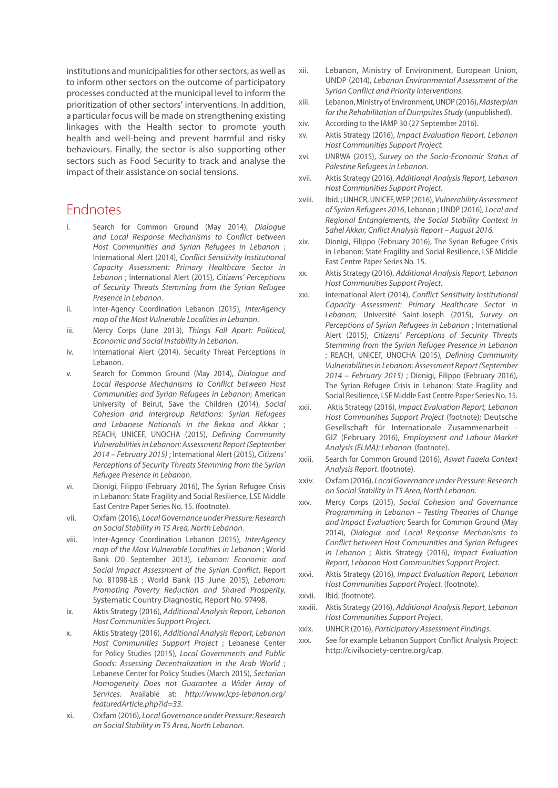institutions and municipalities for other sectors, as well as to inform other sectors on the outcome of participatory processes conducted at the municipal level to inform the prioritization of other sectors' interventions. In addition, a particular focus will be made on strengthening existing linkages with the Health sector to promote youth health and well-being and prevent harmful and risky behaviours. Finally, the sector is also supporting other sectors such as Food Security to track and analyse the impact of their assistance on social tensions.

## Endnotes

- i. Search for Common Ground (May 2014), *Dialogue and Local Response Mechanisms to Conflict between Host Communities and Syrian Refugees in Lebanon* ; International Alert (2014), *Conflict Sensitivity Institutional Capacity Assessment: Primary Healthcare Sector in Lebanon* ; International Alert (2015), *Citizens' Perceptions of Security Threats Stemming from the Syrian Refugee Presence in Lebanon*.
- ii. Inter-Agency Coordination Lebanon (2015), *InterAgency map of the Most Vulnerable Localities in Lebanon*.
- iii. Mercy Corps (June 2013), *Things Fall Apart: Political, Economic and Social Instability in Lebanon.*
- iv. International Alert (2014), Security Threat Perceptions in Lebanon.
- v. Search for Common Ground (May 2014), *Dialogue and Local Response Mechanisms to Conflict between Host Communities and Syrian Refugees in Lebanon*; American University of Beirut, Save the Children (2014), *Social Cohesion and Intergroup Relations: Syrian Refugees and Lebanese Nationals in the Bekaa and Akkar* ; REACH, UNICEF, UNOCHA (2015), *Defining Community Vulnerabilities in Lebanon: Assessment Report (September 2014 – February 2015)* ; International Alert (2015), *Citizens' Perceptions of Security Threats Stemming from the Syrian Refugee Presence in Lebanon*.
- vi. Dionigi, Filippo (February 2016), The Syrian Refugee Crisis in Lebanon: State Fragility and Social Resilience, LSE Middle East Centre Paper Series No. 15. (footnote).
- vii. Oxfam (2016), *Local Governance under Pressure: Research on Social Stability in T5 Area, North Lebanon*.
- viii. Inter-Agency Coordination Lebanon (2015), *InterAgency map of the Most Vulnerable Localities in Lebanon* ; World Bank (20 September 2013), *Lebanon: Economic and Social Impact Assessment of the Syrian Conflict*, Report No. 81098-LB ; World Bank (15 June 2015), *Lebanon: Promoting Poverty Reduction and Shared Prosperity*, Systematic Country Diagnostic, Report No. 97498.
- ix. Aktis Strategy (2016), *Additional Analysis Report, Lebanon Host Communities Support Project.*
- x. Aktis Strategy (2016), *Additional Analysis Report, Lebanon Host Communities Support Project* ; Lebanese Center for Policy Studies (2015), *Local Governments and Public Goods: Assessing Decentralization in the Arab World* ; Lebanese Center for Policy Studies (March 2015), *Sectarian Homogeneity Does not Guarantee a Wider Array of Services*. Available at: *http://www.lcps-lebanon.org/ featuredArticle.php?id=33*.
- xi. Oxfam (2016), *Local Governance under Pressure: Research on Social Stability in T5 Area, North Lebanon*.
- xii. Lebanon, Ministry of Environment, European Union, UNDP (2014), *Lebanon Environmental Assessment of the Syrian Conflict and Priority Interventions*.
- xiii. Lebanon, Ministry of Environment, UNDP (2016), *Masterplan for the Rehabilitation of Dumpsites Study* (unpublished).
- xiv. According to the IAMP 30 (27 September 2016).
- xv. Aktis Strategy (2016), *Impact Evaluation Report, Lebanon Host Communities Support Project.*
- xvi. UNRWA (2015), *Survey on the Socio-Economic Status of Palestine Refugees in Lebanon.*
- xvii. Aktis Strategy (2016), *Additional Analysis Report, Lebanon Host Communities Support Project*.
- xviii. Ibid. ; UNHCR, UNICEF, WFP (2016), *Vulnerability Assessment of Syrian Refugees 2016*, Lebanon ; UNDP (2016), *Local and Regional Entanglements, the Social Stability Context in Sahel Akkar, Cnflict Analysis Report – August 2016.*
- xix. Dionigi, Filippo (February 2016), The Syrian Refugee Crisis in Lebanon: State Fragility and Social Resilience, LSE Middle East Centre Paper Series No. 15.
- xx. Aktis Strategy (2016), *Additional Analysis Report, Lebanon Host Communities Support Project.*
- xxi. International Alert (2014), *Conflict Sensitivity Institutional Capacity Assessment: Primary Healthcare Sector in Lebanon*; Université Saint-Joseph (2015), *Survey on Perceptions of Syrian Refugees in Lebanon* ; International Alert (2015), *Citizens' Perceptions of Security Threats Stemming from the Syrian Refugee Presence in Lebanon* ; REACH, UNICEF, UNOCHA (2015), *Defining Community Vulnerabilities in Lebanon: Assessment Report (September 2014 – February 2015)* ; Dionigi, Filippo (February 2016), The Syrian Refugee Crisis in Lebanon: State Fragility and Social Resilience, LSE Middle East Centre Paper Series No. 15.
- xxii. Aktis Strategy (2016), *Impact Evaluation Report, Lebanon Host Communities Support Project* (footnote); Deutsche Gesellschaft für Internationale Zusammenarbeit - GIZ (February 2016), *Employment and Labour Market Analysis (ELMA): Lebanon*. (footnote).
- xxiii. Search for Common Ground (2016), *Aswat Faaela Context Analysis Report*. (footnote).
- xxiv. Oxfam (2016), *Local Governance under Pressure: Research on Social Stability in T5 Area, North Lebanon*.
- xxv. Mercy Corps (2015), *Social Cohesion and Governance Programming in Lebanon – Testing Theories of Change and Impact Evaluation*; Search for Common Ground (May 2014), *Dialogue and Local Response Mechanisms to Conflict between Host Communities and Syrian Refugees in Lebanon ;* Aktis Strategy (2016), *Impact Evaluation Report, Lebanon Host Communities Support Project.*
- xxvi. Aktis Strategy (2016), *Impact Evaluation Report, Lebanon Host Communities Support Project*. (footnote).
- xxvii. Ibid. (footnote).
- xxviii. Aktis Strategy (2016), *Additional Analysis Report, Lebanon Host Communities Support Project*.
- xxix. UNHCR (2016), *Participatory Assessment Findings*.
- xxx. See for example Lebanon Support Conflict Analysis Project: http://civilsociety-centre.org/cap.